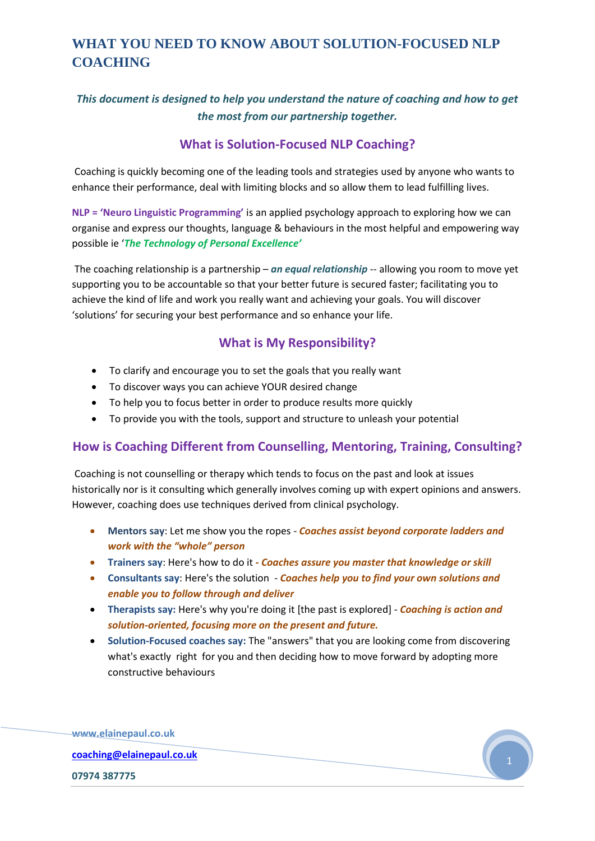### *This document is designed to help you understand the nature of coaching and how to get the most from our partnership together.*

### **What is Solution-Focused NLP Coaching?**

Coaching is quickly becoming one of the leading tools and strategies used by anyone who wants to enhance their performance, deal with limiting blocks and so allow them to lead fulfilling lives.

**NLP = 'Neuro Linguistic Programming'** is an applied psychology approach to exploring how we can organise and express our thoughts, language & behaviours in the most helpful and empowering way possible ie '*The Technology of Personal Excellence'*

The coaching relationship is a partnership – *an equal relationship* -- allowing you room to move yet supporting you to be accountable so that your better future is secured faster; facilitating you to achieve the kind of life and work you really want and achieving your goals. You will discover 'solutions' for securing your best performance and so enhance your life.

### **What is My Responsibility?**

- To clarify and encourage you to set the goals that you really want
- To discover ways you can achieve YOUR desired change
- To help you to focus better in order to produce results more quickly
- To provide you with the tools, support and structure to unleash your potential

### **How is Coaching Different from Counselling, Mentoring, Training, Consulting?**

Coaching is not counselling or therapy which tends to focus on the past and look at issues historically nor is it consulting which generally involves coming up with expert opinions and answers. However, coaching does use techniques derived from clinical psychology.

- **Mentors say**: Let me show you the ropes *Coaches assist beyond corporate ladders and work with the "whole" person*
- **Trainers say**: Here's how to do it *- Coaches assure you master that knowledge or skill*
- **Consultants say**: Here's the solution *Coaches help you to find your own solutions and enable you to follow through and deliver*
- **Therapists say:** Here's why you're doing it [the past is explored] *Coaching is action and solution-oriented, focusing more on the present and future.*
- **Solution-Focused coaches say:** The "answers" that you are looking come from discovering what's exactly right for you and then deciding how to move forward by adopting more constructive behaviours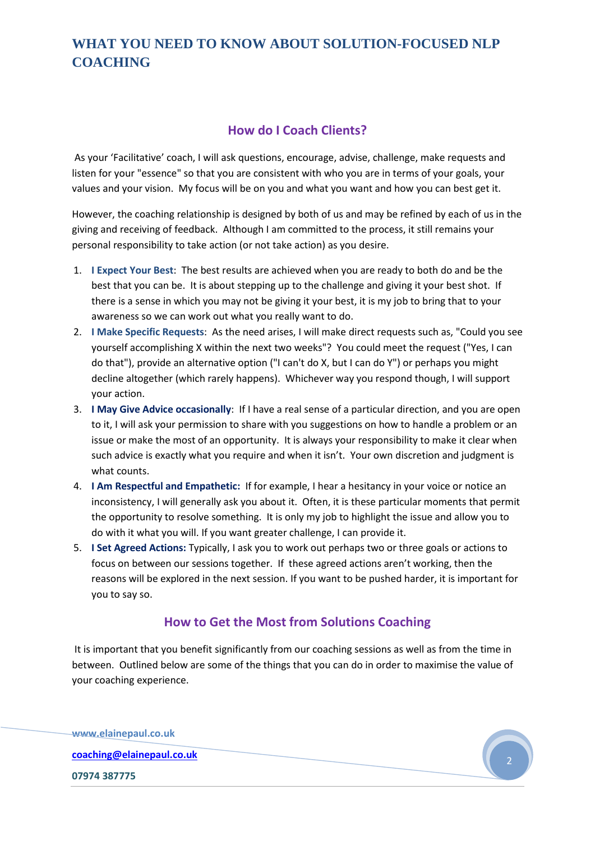#### **How do I Coach Clients?**

As your 'Facilitative' coach, I will ask questions, encourage, advise, challenge, make requests and listen for your "essence" so that you are consistent with who you are in terms of your goals, your values and your vision. My focus will be on you and what you want and how you can best get it.

However, the coaching relationship is designed by both of us and may be refined by each of us in the giving and receiving of feedback. Although I am committed to the process, it still remains your personal responsibility to take action (or not take action) as you desire.

- 1. **I Expect Your Best**: The best results are achieved when you are ready to both do and be the best that you can be. It is about stepping up to the challenge and giving it your best shot. If there is a sense in which you may not be giving it your best, it is my job to bring that to your awareness so we can work out what you really want to do.
- 2. **I Make Specific Requests**: As the need arises, I will make direct requests such as, "Could you see yourself accomplishing X within the next two weeks"? You could meet the request ("Yes, I can do that"), provide an alternative option ("I can't do X, but I can do Y") or perhaps you might decline altogether (which rarely happens). Whichever way you respond though, I will support your action.
- 3. **I May Give Advice occasionally**: If I have a real sense of a particular direction, and you are open to it, I will ask your permission to share with you suggestions on how to handle a problem or an issue or make the most of an opportunity. It is always your responsibility to make it clear when such advice is exactly what you require and when it isn't. Your own discretion and judgment is what counts.
- 4. **I Am Respectful and Empathetic:** If for example, I hear a hesitancy in your voice or notice an inconsistency, I will generally ask you about it. Often, it is these particular moments that permit the opportunity to resolve something. It is only my job to highlight the issue and allow you to do with it what you will. If you want greater challenge, I can provide it.
- 5. **I Set Agreed Actions:** Typically, I ask you to work out perhaps two or three goals or actions to focus on between our sessions together. If these agreed actions aren't working, then the reasons will be explored in the next session. If you want to be pushed harder, it is important for you to say so.

### **How to Get the Most from Solutions Coaching**

It is important that you benefit significantly from our coaching sessions as well as from the time in between. Outlined below are some of the things that you can do in order to maximise the value of your coaching experience.

**www.elainepaul.co.uk [coaching@elainepaul.co.uk](mailto:coaching@elainepaul.co.uk) 07974 387775**

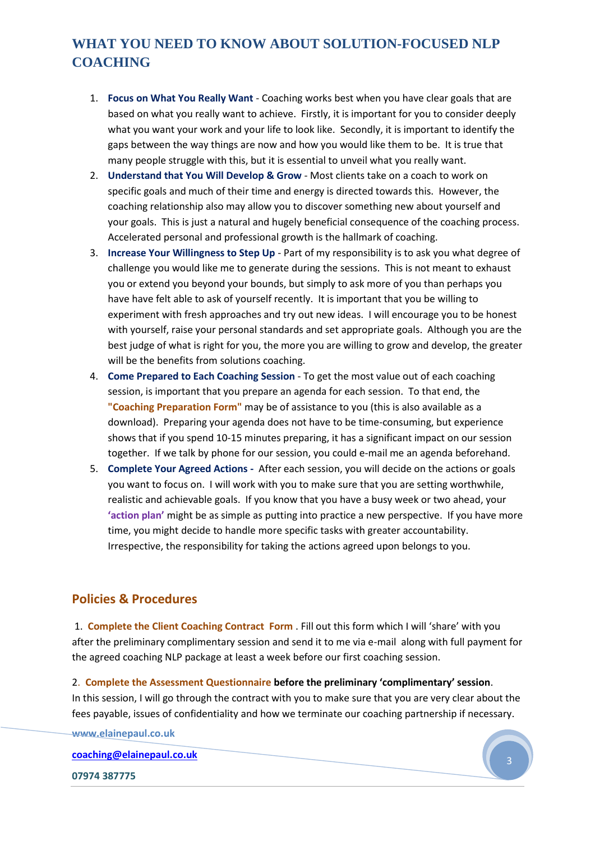- 1. **Focus on What You Really Want** Coaching works best when you have clear goals that are based on what you really want to achieve. Firstly, it is important for you to consider deeply what you want your work and your life to look like. Secondly, it is important to identify the gaps between the way things are now and how you would like them to be. It is true that many people struggle with this, but it is essential to unveil what you really want.
- 2. **Understand that You Will Develop & Grow** Most clients take on a coach to work on specific goals and much of their time and energy is directed towards this. However, the coaching relationship also may allow you to discover something new about yourself and your goals. This is just a natural and hugely beneficial consequence of the coaching process. Accelerated personal and professional growth is the hallmark of coaching.
- 3. **Increase Your Willingness to Step Up** Part of my responsibility is to ask you what degree of challenge you would like me to generate during the sessions. This is not meant to exhaust you or extend you beyond your bounds, but simply to ask more of you than perhaps you have have felt able to ask of yourself recently. It is important that you be willing to experiment with fresh approaches and try out new ideas. I will encourage you to be honest with yourself, raise your personal standards and set appropriate goals. Although you are the best judge of what is right for you, the more you are willing to grow and develop, the greater will be the benefits from solutions coaching.
- 4. **Come Prepared to Each Coaching Session** To get the most value out of each coaching session, is important that you prepare an agenda for each session. To that end, the **"Coaching Preparation Form"** may be of assistance to you (this is also available as a download). Preparing your agenda does not have to be time-consuming, but experience shows that if you spend 10-15 minutes preparing, it has a significant impact on our session together. If we talk by phone for our session, you could e-mail me an agenda beforehand.
- 5. **Complete Your Agreed Actions -** After each session, you will decide on the actions or goals you want to focus on. I will work with you to make sure that you are setting worthwhile, realistic and achievable goals. If you know that you have a busy week or two ahead, your **'action plan'** might be as simple as putting into practice a new perspective. If you have more time, you might decide to handle more specific tasks with greater accountability. Irrespective, the responsibility for taking the actions agreed upon belongs to you.

#### **Policies & Procedures**

1. **Complete the Client Coaching Contract Form** . Fill out this form which I will 'share' with you after the preliminary complimentary session and send it to me via e-mail along with full payment for the agreed coaching NLP package at least a week before our first coaching session.

2. **Complete the Assessment Questionnaire before the preliminary 'complimentary' session**. In this session, I will go through the contract with you to make sure that you are very clear about the fees payable, issues of confidentiality and how we terminate our coaching partnership if necessary.

**www.elainepaul.co.uk**

**[coaching@elainepaul.co.uk](mailto:coaching@elainepaul.co.uk)**

**07974 387775**